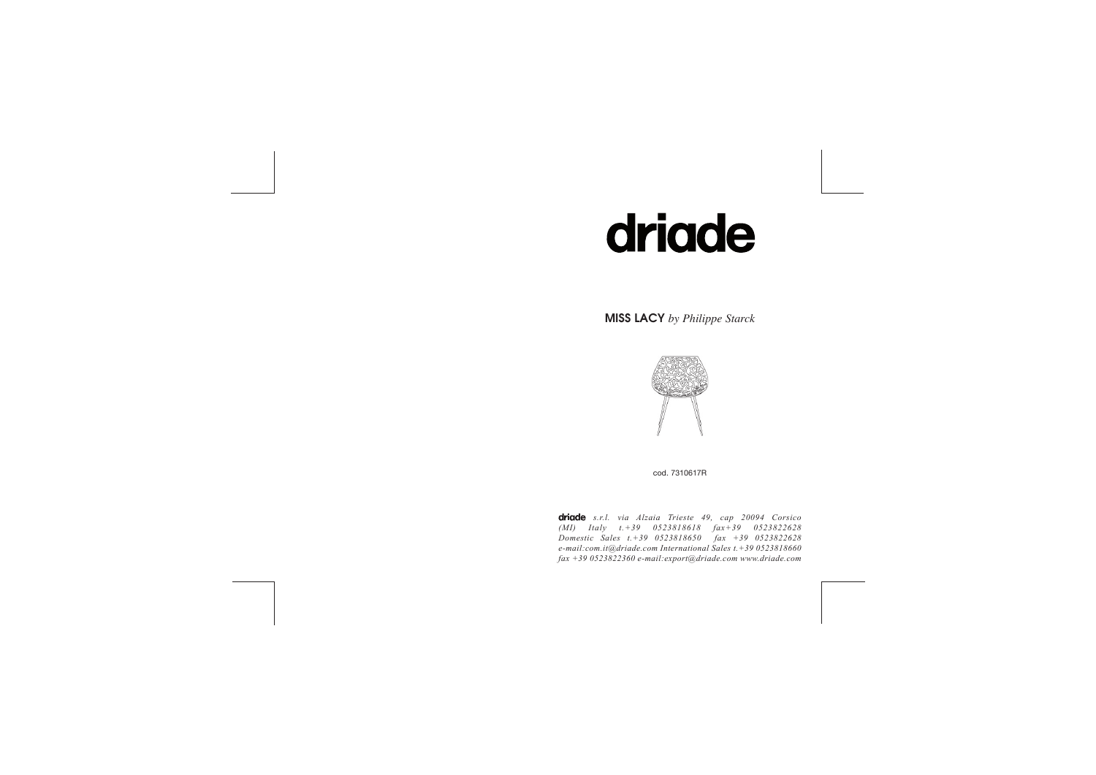# driade

MISS LACY *by Philippe Starck*



cod. 7310617R

driade s.r.l. via Alzaia Trieste 49, cap 20094 Corsico *(MI) Italy t.+39 0523818618 fax+39 0523822628 Domestic Sales t.+39 0523818650 fax +39 0523822628 e-mail:com.it@driade.com International Sales t.+39 0523818660 fax +39 0523822360 e-mail:export@driade.com www.driade.com*